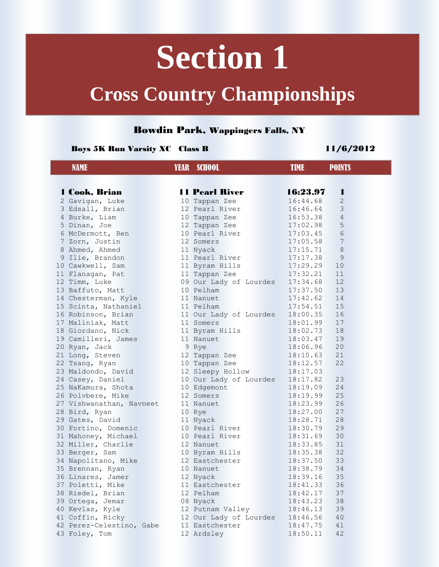# **Section 1**

### **Cross Country Championships**

### Bowdin Park, Wappingers Falls, NY

#### Boys 5K Run Varsity XC Class B 11/6/2012

| <b>NAME</b>              | <b>YEAR SCHOOL</b>              | <b>TIME</b> | <b>POINTS</b>  |
|--------------------------|---------------------------------|-------------|----------------|
|                          |                                 |             |                |
| 1 Cook, Brian            | <b>11 Pearl River</b>           | 16:23.97    | ш              |
| 2 Gavigan, Luke          | 10 Tappan Zee                   | 16:44.68    | $\mathbf{2}$   |
| 3 Edsall, Brian          | 12 Pearl River                  | 16:46.64    | 3              |
| 4 Burke, Liam            | 10 Tappan Zee                   | 16:53.38    | $\overline{4}$ |
| 5 Dinan, Joe             | 12 Tappan Zee                   | 17:02.98    | 5              |
| 6 McDermott, Ben         | 10 Pearl River                  | 17:03.45    | 6              |
| 7 Zorn, Justin           | 12 Somers                       | 17:05.58    | 7              |
| 8 Ahmed, Ahmed           | 11 Nyack                        | 17:15.71    | $\,8\,$        |
| 9 Ilie, Brandon          | 11 Pearl River                  | 17:17.38    | 9              |
| 10 Cawkwell, Sam         | 11 Byram Hills                  | 17:29.29    | 10             |
| 11 Flanagan, Pat         | 11 Tappan Zee                   | 17:32.21    | 11             |
| 12 Timm, Luke            | 09 Our Lady of Lourdes 17:34.68 |             | 12             |
| 13 Baffuto, Matt         | 10 Pelham                       | 17:37.50    | 13             |
| 14 Chesterman, Kyle      | 11 Nanuet                       | 17:42.62    | 14             |
| 15 Scinta, Nathaniel     | 11 Pelham                       | 17:54.51    | 15             |
| 16 Robinson, Brian       | 11 Our Lady of Lourdes          | 18:00.35    | 16             |
| 17 Maliniak, Matt        | 11 Somers                       | 18:01.99    | 17             |
| 18 Giordano, Nick        | 11 Byram Hills                  | 18:02.73    | 18             |
| 19 Camilleri, James      | 11 Nanuet                       | 18:03.47    | 19             |
| 20 Ryan, Jack            | 9 Rye                           | 18:06.96    | 20             |
| 21 Long, Steven          | 12 Tappan Zee                   | 18:10.63    | 21             |
| 22 Tsang, Ryan           | 10 Tappan Zee                   | 18:12.57    | 22             |
| 23 Maldondo, David       | 12 Sleepy Hollow                | 18:17.03    |                |
| 24 Casey, Daniel         | 10 Our Lady of Lourdes          | 18:17.82    | 23             |
| 25 NaKamura, Shota       | 10 Edgemont                     | 18:19.09    | 24             |
| 26 Polvbere, Mike        | 12 Somers                       | 18:19.99    | 25             |
| 27 Vishwanathan, Navneet | 11 Nanuet                       | 18:23.99    | 26             |
| 28 Bird, Ryan            | 10 Rye                          | 18:27.00    | 27             |
| 29 Gates, David          | 11 Nyack                        | 18:28.71    | 28             |
| 30 Fortino, Domenic      | 10 Pearl River                  | 18:30.79    | 29             |
| 31 Mahoney, Michael      | 10 Pearl River                  | 18:31.69    | 30             |
| 32 Miller, Charlie       | 12 Nanuet                       | 18:33.85    | 31             |
| 33 Berger, Sam           | 10 Byram Hills                  | 18:35.38    | 32             |
| 34 Napolitano, Mike      | 12 Eastchester                  | 18:37.50    | 33             |
| 35 Brennan, Ryan         | 10 Nanuet                       | 18:38.79    | 34             |
| 36 Linares, Jamer        | 12 Nyack                        | 18:39.16    | 35             |
| 37 Poletti, Mike         | 11 Eastchester                  | 18:41.33    | 36             |
| 38 Riedel, Brian         | 12 Pelham                       | 18:42.17    | 37             |
| 39 Ortega, Jemar         | 08 Nyack                        | 18:43.23    | 38             |
| 40 Kevlas, Kyle          | 12 Putnam Valley                | 18:46.13    | 39             |
| 41 Coffin, Ricky         | 12 Our Lady of Lourdes          | 18:46.56    | 40             |
| 42 Perez-Celestino, Gabe | 11 Eastchester                  | 18:47.75    | 41             |
| 43 Foley, Tom            | 12 Ardsley                      | 18:50.11    | 42             |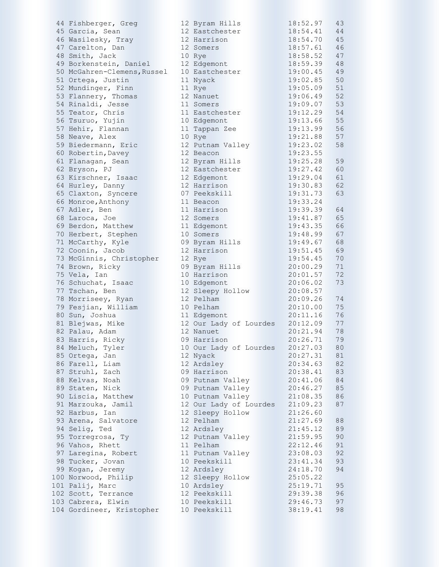| 44 Fishberger, Greg         | 12 Byram Hills         | 18:52.97 | 43 |
|-----------------------------|------------------------|----------|----|
| 45 Garcia, Sean             | 12 Eastchester         | 18:54.41 | 44 |
| 46 Wasilesky, Tray          | 12 Harrison            | 18:54.70 | 45 |
| 47 Carelton, Dan            | 12 Somers              | 18:57.61 | 46 |
| 48 Smith, Jack              | 10 Rye                 | 18:58.52 | 47 |
| 49 Borkenstein, Daniel      | 12 Edgemont            | 18:59.39 | 48 |
| 50 McGahren-Clemens, Russel | 10 Eastchester         | 19:00.45 | 49 |
| 51 Ortega, Justin           | 11 Nyack               | 19:02.85 | 50 |
| 52 Mundinger, Finn          | 11 Rye                 | 19:05.09 | 51 |
| 53 Flannery, Thomas         | 12 Nanuet              | 19:06.49 | 52 |
| 54 Rinaldi, Jesse           | 11 Somers              | 19:09.07 | 53 |
|                             |                        | 19:12.29 | 54 |
| 55 Teator, Chris            | 11 Eastchester         |          |    |
| 56 Tsuruo, Yujin            | 10 Edgemont            | 19:13.66 | 55 |
| 57 Hehir, Flannan           | 11 Tappan Zee          | 19:13.99 | 56 |
| 58 Neave, Alex              | 10 Rye                 | 19:21.88 | 57 |
| 59 Biedermann, Eric         | 12 Putnam Valley       | 19:23.02 | 58 |
| 60 Robertin, Davey          | 12 Beacon              | 19:23.55 |    |
| 61 Flanagan, Sean           | 12 Byram Hills         | 19:25.28 | 59 |
| 62 Bryson, PJ               | 12 Eastchester         | 19:27.42 | 60 |
| 63 Kirschner, Isaac         | 12 Edgemont            | 19:29.04 | 61 |
| 64 Hurley, Danny            | 12 Harrison            | 19:30.83 | 62 |
| 65 Claxton, Syncere         | 07 Peekskill           | 19:31.73 | 63 |
| 66 Monroe, Anthony          | 11 Beacon              | 19:33.24 |    |
| 67 Adler, Ben               | 11 Harrison            | 19:39.39 | 64 |
| 68 Laroca, Joe              | 12 Somers              | 19:41.87 | 65 |
| 69 Berdon, Matthew          | 11 Edgemont            | 19:43.35 | 66 |
| 70 Herbert, Stephen         | 10 Somers              | 19:48.99 | 67 |
| 71 McCarthy, Kyle           | 09 Byram Hills         | 19:49.67 | 68 |
| 72 Coonin, Jacob            | 12 Harrison            | 19:51.45 | 69 |
| 73 McGinnis, Christopher    | 12 Rye                 | 19:54.45 | 70 |
| 74 Brown, Ricky             | 09 Byram Hills         | 20:00.29 | 71 |
| 75 Vela, Ian                | 10 Harrison            | 20:01.57 | 72 |
| 76 Schuchat, Isaac          | 10 Edgemont            | 20:06.02 | 73 |
| 77 Tschan, Ben              | 12 Sleepy Hollow       | 20:08.57 |    |
| 78 Morriseey, Ryan          | 12 Pelham              | 20:09.26 | 74 |
|                             | 10 Pelham              | 20:10.00 | 75 |
| 79 Fesjian, William         |                        | 20:11.16 | 76 |
| 80 Sun, Joshua              | 11 Edgemont            |          | 77 |
| 81 Blejwas, Mike            | 12 Our Lady of Lourdes | 20:12.09 |    |
| 82 Palau, Adam              | 12 Nanuet              | 20:21.94 | 78 |
| 83 Harris, Ricky            | 09 Harrison            | 20:26.71 | 79 |
| 84 Meluch, Tyler            | 10 Our Lady of Lourdes | 20:27.03 | 80 |
| 85 Ortega, Jan              | 12 Nyack               | 20:27.31 | 81 |
| 86 Farell, Liam             | 12 Ardsley             | 20:34.63 | 82 |
| 87 Struhl, Zach             | 09 Harrison            | 20:38.41 | 83 |
| 88 Kelvas, Noah             | 09 Putnam Valley       | 20:41.06 | 84 |
| 89 Staten, Nick             | 09 Putnam Valley       | 20:46.27 | 85 |
| 90 Liscia, Matthew          | 10 Putnam Valley       | 21:08.35 | 86 |
| 91 Marzouka, Jamil          | 12 Our Lady of Lourdes | 21:09.23 | 87 |
| 92 Harbus, Ian              | 12 Sleepy Hollow       | 21:26.60 |    |
| 93 Arena, Salvatore         | 12 Pelham              | 21:27.69 | 88 |
| 94 Selig, Ted               | 12 Ardsley             | 21:45.12 | 89 |
| 95 Torregrosa, Ty           | 12 Putnam Valley       | 21:59.95 | 90 |
| 96 Vahos, Rhett             | 11 Pelham              | 22:12.46 | 91 |
| 97 Laregina, Robert         | 11 Putnam Valley       | 23:08.03 | 92 |
| 98 Tucker, Jovan            | 10 Peekskill           | 23:41.34 | 93 |
| 99 Kogan, Jeremy            | 12 Ardsley             | 24:18.70 | 94 |
| 100 Norwood, Philip         | 12 Sleepy Hollow       | 25:05.22 |    |
| 101 Palij, Marc             | 10 Ardsley             | 25:19.71 | 95 |
| 102 Scott, Terrance         | 12 Peekskill           | 29:39.38 | 96 |
| 103 Cabrera, Elwin          | 10 Peekskill           | 29:46.73 | 97 |
| 104 Gordineer, Kristopher   | 10 Peekskill           | 38:19.41 | 98 |
|                             |                        |          |    |